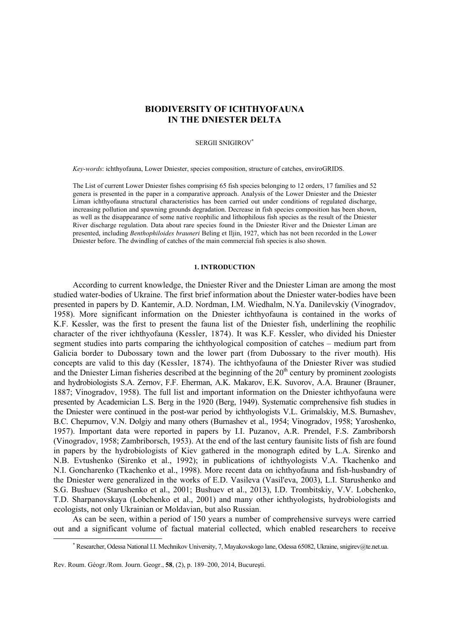# **BIODIVERSITY OF ICHTHYOFAUNA IN THE DNIESTER DELTA**

### SERGII SNIGIROV<sup>∗</sup>

*Key-words*: ichthyofauna, Lower Dniеster, species composition, structure of catches, enviroGRIDS.

The List of current Lower Dniеster fishes comprising 65 fish species belonging to 12 orders, 17 families and 52 genera is presented in the paper in a comparative approach. Analysis of the Lower Dniеster and the Dniеster Liman ichthyofauna structural characteristics has been carried out under conditions of regulated discharge, increasing pollution and spawning grounds degradation. Decrease in fish species composition has been shown, as well as the disappearance of some native reophilic and lithophilous fish species as the result of the Dniеster River discharge regulation. Data about rare species found in the Dniеster River and the Dniеster Liman are presented, including *Benthophiloides brauneri* Beling et Iljin, 1927, which has not been recorded in the Lower Dniеster before. The dwindling of catches of the main commercial fish species is also shown.

### **1. INTRODUCTION**

According to current knowledge, the Dniеster River and the Dniеster Liman are among the most studied water-bodies of Ukraine. The first brief information about the Dniеster water-bodies have been presented in papers by D. Kantemir, A.D. Nordman, I.M. Wiedhalm, N.Ya. Danilevskiy (Vinogradov, 1958). More significant information on the Dniеster ichthyofauna is contained in the works of K.F. Kessler, was the first to present the fauna list of the Dniеster fish, underlining the reophilic character of the river ichthyofauna (Kessler, 1874). It was K.F. Kessler, who divided his Dniеster segment studies into parts comparing the ichthyological composition of catches – medium part from Galicia border to Dubossary town and the lower part (from Dubossary to the river mouth). His concepts are valid to this day (Kessler, 1874). The ichthyofauna of the Dniеster River was studied and the Dniester Liman fisheries described at the beginning of the 20<sup>th</sup> century by prominent zoologists and hydrobiologists S.A. Zernov, F.F. Eherman, A.K. Makarov, E.K. Suvorov, A.A. Brauner (Brauner, 1887; Vinogradov, 1958). The full list and important information on the Dniеster ichthyofauna were presented by Academician L.S. Berg in the 1920 (Berg, 1949). Systematic comprehensive fish studies in the Dniеster were continued in the post-war period by ichthyologists V.L. Grimalskiy, M.S. Burnashev, В.С. Chepurnov, V.N. Dolgiy and many others (Burnashev et al., 1954; Vinogradov, 1958; Yaroshenko, 1957). Important data were reported in papers by I.I. Puzanov, A.R. Prendel, F.S. Zambriborsh (Vinogradov, 1958; Zambriborsch, 1953). At the end of the last century faunisitc lists of fish are found in papers by the hydrobiologists of Kiev gathered in the monograph edited by L.A. Sirenko and N.B. Evtushenko (Sirenko et al., 1992); in publications of ichthyologists V.A. Tkachenko and N.I. Goncharenko (Tkachenko et al., 1998). More recent data on ichthyofauna and fish-husbandry of the Dniеster were generalized in the works of E.D. Vasileva (Vasil'eva, 2003), L.I. Starushenko and S.G. Bushuev (Starushenko et al., 2001; Bushuev et al., 2013), I.D. Trombitskiy, V.V. Lobchenko, T.D. Sharpanovskaya (Lobchenko et al., 2001) and many other ichthyologists, hydrobiologists and ecologists, not only Ukrainian or Moldavian, but also Russian.

As can be seen, within a period of 150 years a number of comprehensive surveys were carried out and a significant volume of factual material collected, which enabled researchers to receive

l

<sup>∗</sup> Researcher, Odessa National I.I. Mechnikov University, 7, Mayakovskogo lane, Odessa 65082, Ukraine, snigirev@te.net.ua.

Rev. Roum. Géogr./Rom. Journ. Geogr., **58**, (2), p. 189–200, 2014, Bucureşti.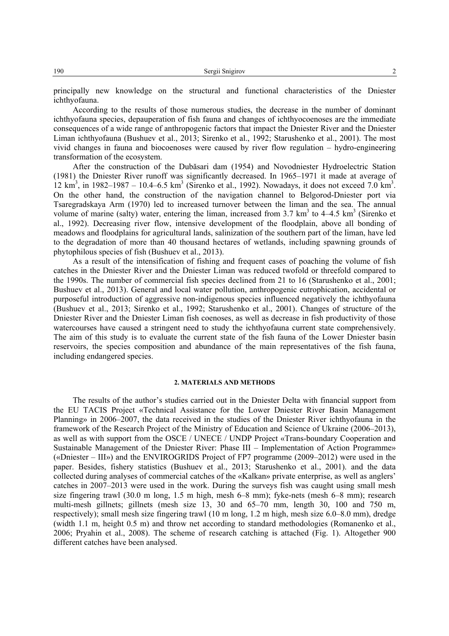principally new knowledge on the structural and functional characteristics of the Dniеster ichthyofauna.

According to the results of those numerous studies, the decrease in the number of dominant ichthyofauna species, depauperation of fish fauna and changes of ichthyocoenoses are the immediate consequences of a wide range of anthropogenic factors that impact the Dniеster River and the Dniеster Liman ichthyofauna (Bushuev et al., 2013; Sirenko et al., 1992; Starushenko et al., 2001). The most vivid changes in fauna and biocoenoses were caused by river flow regulation – hydro-engineering transformation of the ecosystem.

After the construction of the Dubăsari dam (1954) and Novodniester Hydroelectric Station (1981) the Dniester River runoff was significantly decreased. In 1965–1971 it made at average of  $12 \text{ km}^3$ , in 1982–1987 – 10.4–6.5 km<sup>3</sup> (Sirenko et al., 1992). Nowadays, it does not exceed 7.0 km<sup>3</sup>. On the other hand, the construction of the navigation channel to Belgorod-Dniester port via Tsaregradskaya Arm (1970) led to increased turnover between the liman and the sea. The annual volume of marine (salty) water, entering the liman, increased from  $3.7 \text{ km}^3$  to  $4-4.5 \text{ km}^3$  (Sirenko et al., 1992). Decreasing river flow, intensive development of the floodplain, above all bonding of meadows and floodplains for agricultural lands, salinization of the southern part of the liman, have led to the degradation of more than 40 thousand hectares of wetlands, including spawning grounds of phytophilous species of fish (Bushuev et al., 2013).

As a result of the intensification of fishing and frequent cases of poaching the volume of fish catches in the Dniester River and the Dniester Liman was reduced twofold or threefold compared to the 1990s. The number of commercial fish species declined from 21 to 16 (Starushenko et al., 2001; Bushuev et al., 2013). General and local water pollution, anthropogenic eutrophication, accidental or purposeful introduction of aggressive non-indigenous species influenced negatively the ichthyofauna (Bushuev et al., 2013; Sirenko et al., 1992; Starushenko et al., 2001). Changes of structure of the Dniеster River and the Dniеster Liman fish coenoses, as well as decrease in fish productivity of those watercourses have caused a stringent need to study the ichthyofauna current state comprehensively. The aim of this study is to evaluate the current state of the fish fauna of the Lower Dniester basin reservoirs, the species composition and abundance of the main representatives of the fish fauna, including endangered species.

### **2. MATERIALS AND METHODS**

The results of the author's studies carried out in the Dniеster Delta with financial support from the EU TACIS Project «Technical Assistance for the Lower Dniester River Basin Management Planning» in 2006–2007, the data received in the studies of the Dniеster River ichthyofauna in the framework of the Research Project of the Ministry of Education and Science of Ukraine (2006–2013), as well as with support from the OSCE / UNECE / UNDP Project «Trans-boundary Cooperation and Sustainable Management of the Dniеster River: Phase ІІІ – Implementation of Action Programme» («Dniеster – ІІІ») and the ENVIROGRIDS Project of FP7 programme (2009–2012) were used in the paper. Besides, fishery statistics (Bushuev et al., 2013; Starushenko et al., 2001). and the data collected during analyses of commercial catches of the «Kalkan» private enterprise, as well as anglers' catches in 2007–2013 were used in the work. During the surveys fish was caught using small mesh size fingering trawl (30.0 m long, 1.5 m high, mesh 6–8 mm); fyke-nets (mesh 6–8 mm); research multi-mesh gillnets; gillnets (mesh size 13, 30 and 65–70 mm, length 30, 100 and 750 m, respectively); small mesh size fingering trawl (10 m long, 1.2 m high, mesh size 6.0–8.0 mm), dredge (width 1.1 m, height 0.5 m) and throw net according to standard methodologies (Romanenko et al., 2006; Pryahin et al., 2008). The scheme of research catching is attached (Fig. 1). Altogether 900 different catches have been analysed.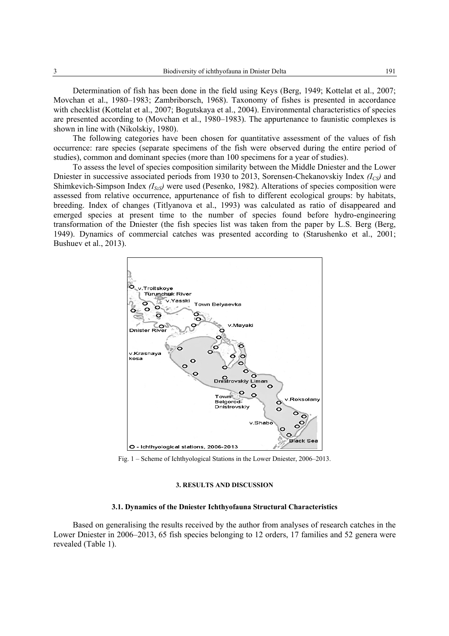Determination of fish has been done in the field using Keys (Berg, 1949; Kottelat et al., 2007; Movchan et al., 1980–1983; Zambriborsch, 1968). Taxonomy of fishes is presented in accordance with checklist (Kottelat et al., 2007; Bogutskaya et al., 2004). Environmental characteristics of species are presented according to (Movchan et al., 1980–1983). The appurtenance to faunistic complexes is shown in line with (Nikolskiy, 1980).

The following categories have been chosen for quantitative assessment of the values of fish occurrence: rare species (separate specimens of the fish were observed during the entire period of studies), common and dominant species (more than 100 specimens for a year of studies).

To assess the level of species composition similarity between the Middle Dniеster and the Lower Dniester in successive associated periods from 1930 to 2013, Sorensen-Chekanovskiy Index *(I<sub>CS</sub>)* and Shimkevich-Simpson Index  $(I_{SzS})$  were used (Pesenko, 1982). Alterations of species composition were assessed from relative occurrence, appurtenance of fish to different ecological groups: by habitats, breeding. Index of changes (Titlyanova et al., 1993) was calculated as ratio of disappeared and emerged species at present time to the number of species found before hydro-engineering transformation of the Dniеster (the fish species list was taken from the paper by L.S. Berg (Berg, 1949). Dynamics of commercial catches was presented according to (Starushenko et al., 2001; Bushuev et al., 2013).



Fig. 1 – Scheme of Ichthyological Stations in the Lower Dniеster, 2006–2013.

### **3. RESULTS AND DISCUSSION**

### **3.1. Dynamics of the Dniеster Ichthyofauna Structural Characteristics**

Based on generalising the results received by the author from analyses of research catches in the Lower Dniеster in 2006–2013, 65 fish species belonging to 12 orders, 17 families and 52 genera were revealed (Table 1).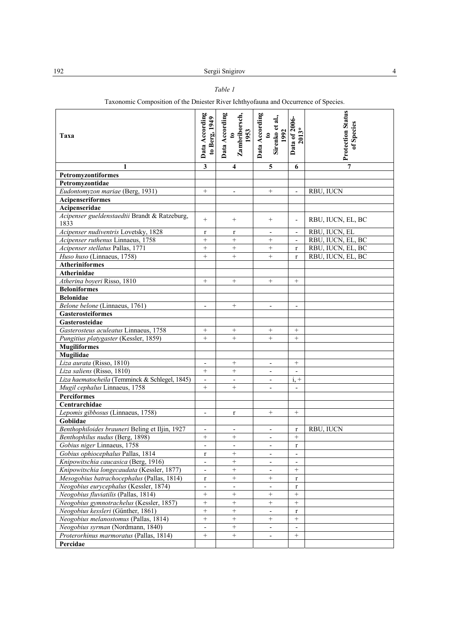# *Table 1*

# Taxonomic Composition of the Dniеster River Ichthyofauna and Occurrence of Species.

| Taxa                                                  | Data According<br>to Berg, 1949 | Data According<br>Zambriborsch,<br>1953<br>$\mathbf{e}$ | Data According<br>Sirenko et al.,<br>1992<br>$\mathbf{c}$ | Data of 2006-<br>$2013*$ | <b>Protection Status</b><br>of Species |
|-------------------------------------------------------|---------------------------------|---------------------------------------------------------|-----------------------------------------------------------|--------------------------|----------------------------------------|
| 1                                                     | $\overline{\mathbf{3}}$         | 4                                                       | $5\phantom{.0}$                                           | 6                        | $\overline{7}$                         |
| Petromyzontiformes                                    |                                 |                                                         |                                                           |                          |                                        |
| Petromyzontidae                                       |                                 |                                                         |                                                           |                          |                                        |
| Eudontomyzon mariae (Berg, 1931)                      | $^{+}$                          | $\overline{\phantom{a}}$                                | $^{+}$                                                    | $\blacksquare$           | RBU, IUCN                              |
| Acipenseriformes                                      |                                 |                                                         |                                                           |                          |                                        |
| Acipenseridae                                         |                                 |                                                         |                                                           |                          |                                        |
| Acipenser gueldenstaedtii Brandt & Ratzeburg,<br>1833 | $\qquad \qquad +$               | $^{+}$                                                  | $^{+}$                                                    | $\overline{\phantom{a}}$ | RBU, IUCN, EL, BC                      |
| Acipenser nudiventris Lovetsky, 1828                  | r                               | r                                                       | $\qquad \qquad -$                                         | $\overline{\phantom{a}}$ | RBU, IUCN, EL                          |
| Acipenser ruthenus Linnaeus, 1758                     | $^{+}$                          | $^{+}$                                                  | $^{+}$                                                    |                          | RBU, IUCN, EL, BC                      |
| Acipenser stellatus Pallas, 1771                      | $+$                             | $^{+}$                                                  | $\qquad \qquad +$                                         | $\mathbf{r}$             | RBU, IUCN, EL, BC                      |
| Huso huso (Linnaeus, 1758)                            | $\! + \!\!\!\!$                 | $^{+}$                                                  | $\! + \!\!\!\!$                                           | $\mathbf{r}$             | RBU, IUCN, EL, BC                      |
| <b>Atheriniformes</b>                                 |                                 |                                                         |                                                           |                          |                                        |
| <b>Atherinidae</b>                                    |                                 |                                                         |                                                           |                          |                                        |
| Atherina boyeri Risso, 1810                           | $\qquad \qquad +$               | $^{+}$                                                  | $+$                                                       | $^{+}$                   |                                        |
| <b>Beloniformes</b>                                   |                                 |                                                         |                                                           |                          |                                        |
| <b>Belonidae</b>                                      |                                 |                                                         |                                                           |                          |                                        |
| Belone belone (Linnaeus, 1761)                        | $\overline{\phantom{a}}$        | $^{+}$                                                  | $\overline{\phantom{a}}$                                  | $\overline{\phantom{a}}$ |                                        |
| <b>Gasterosteiformes</b>                              |                                 |                                                         |                                                           |                          |                                        |
| Gasterosteidae                                        |                                 |                                                         |                                                           |                          |                                        |
| Gasterosteus aculeatus Linnaeus, 1758                 | $+$                             | $^{+}$                                                  | $^{+}$                                                    | $^{+}$                   |                                        |
| Pungitius platygaster (Kessler, 1859)                 | $^{+}$                          | $^{+}$                                                  | $^{+}$                                                    | $+$                      |                                        |
| <b>Mugiliformes</b>                                   |                                 |                                                         |                                                           |                          |                                        |
| Mugilidae                                             |                                 |                                                         |                                                           |                          |                                        |
| Liza aurata (Risso, 1810)                             | $\overline{\phantom{a}}$        | $\! + \!\!\!\!$                                         | $\overline{\phantom{a}}$                                  | $^{+}$                   |                                        |
| Liza saliens (Risso, 1810)                            | $+$                             | $^{+}$                                                  |                                                           |                          |                                        |
| Liza haematocheila (Temminck & Schlegel, 1845)        | $\overline{\phantom{a}}$        |                                                         | $\overline{\phantom{a}}$                                  | $i +$                    |                                        |
| Mugil cephalus Linnaeus, 1758                         | $+$                             | $^{+}$                                                  | $\overline{\phantom{0}}$                                  | $\overline{\phantom{a}}$ |                                        |
| <b>Perciformes</b>                                    |                                 |                                                         |                                                           |                          |                                        |
| Centrarchidae                                         |                                 |                                                         |                                                           |                          |                                        |
| Lepomis gibbosus (Linnaeus, 1758)                     | $\overline{\phantom{a}}$        | r                                                       | $^{+}$                                                    | $^{+}$                   |                                        |
| Gobiidae                                              |                                 |                                                         |                                                           |                          |                                        |
| Benthophiloides brauneri Beling et Iljin, 1927        | $\overline{\phantom{a}}$        | $\overline{\phantom{a}}$                                | $\overline{\phantom{a}}$                                  | $\mathbf r$              | <b>RBU, IUCN</b>                       |
| Benthophilus nudus (Berg, 1898)                       |                                 | $\! + \!\!\!\!$                                         | $\overline{\phantom{a}}$                                  | $^{+}$                   |                                        |
| Gobius niger Linnaeus, 1758                           | $\overline{\phantom{a}}$        | $\overline{a}$                                          | $\overline{\phantom{a}}$                                  | $\mathbf{r}$             |                                        |
| Gobius ophiocephalus Pallas, 1814                     | r                               | $\! + \!\!\!\!$                                         | $\qquad \qquad \blacksquare$                              | $\overline{\phantom{a}}$ |                                        |
| Knipowitschia caucasica (Berg, 1916)                  |                                 | $\ddot{}$                                               |                                                           |                          |                                        |
| Knipowitschia longecaudata (Kessler, 1877)            | $\overline{\phantom{a}}$        | $^+$                                                    | $\overline{\phantom{0}}$                                  | $\! + \!\!\!\!$          |                                        |
| Mesogobius batrachocephalus (Pallas, 1814)            | r                               | $^{+}$                                                  | $^{+}$                                                    | $\mathbf{r}$             |                                        |
| Neogobius eurycephalus (Kessler, 1874)                | $\overline{\phantom{a}}$        | $\overline{\phantom{a}}$                                | $\overline{\phantom{0}}$                                  | r                        |                                        |
| Neogobius fluviatilis (Pallas, 1814)                  | $\boldsymbol{+}$                | $\! + \!\!\!\!$                                         | $\qquad \qquad +$                                         | $^{+}$                   |                                        |
| Neogobius gymnotrachelus (Kessler, 1857)              | $+$                             | $^{+}$                                                  | $^{+}$                                                    | $^{+}$                   |                                        |
| Neogobius kessleri (Günther, 1861)                    | $\boldsymbol{+}$                | $\boldsymbol{+}$                                        | $\overline{\phantom{0}}$                                  | $\mathbf r$              |                                        |
| Neogobius melanostomus (Pallas, 1814)                 | $^+$                            | $+$                                                     | $+$                                                       | $+$                      |                                        |
| Neogobius syrman (Nordmann, 1840)                     | $\overline{\phantom{a}}$        | $^+$                                                    | $\overline{\phantom{0}}$                                  |                          |                                        |
| Proterorhinus marmoratus (Pallas, 1814)               | $\! + \!\!\!\!$                 | $^{+}$                                                  | $\overline{\phantom{a}}$                                  | $^{+}$                   |                                        |
| Percidae                                              |                                 |                                                         |                                                           |                          |                                        |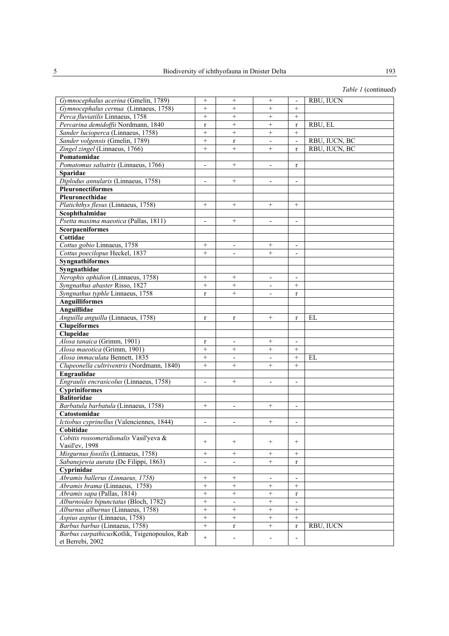| Gymnocephalus acerina (Gmelin, 1789)         | $^{+}$                   | $\! + \!\!\!\!$          | $^{+}$                   | $\overline{\phantom{a}}$ | RBU, IUCN     |
|----------------------------------------------|--------------------------|--------------------------|--------------------------|--------------------------|---------------|
| Gymnocephalus cernua (Linnaeus, 1758)        | $^{+}$                   | $^{+}$                   | $^{+}$                   | $^{+}$                   |               |
| Perca fluviatilis Linnaeus, 1758             | $^{+}$                   | $\! + \!\!\!\!$          | $^{+}$                   | $^{+}$                   |               |
| Percarina demidoffii Nordmann, 1840          | $\mathbf r$              | $\! + \!\!\!\!$          | $^{+}$                   | $\mathbf{r}$             | RBU, EL       |
| Sander lucioperca (Linnaeus, 1758)           | $^{+}$                   | $^{+}$                   | $+$                      | $^{+}$                   |               |
| Sander volgensis (Gmelin, 1789)              | $^{+}$                   | $\mathbf{r}$             |                          | $\overline{\phantom{a}}$ | RBU, IUCN, BC |
| Zingel zingel (Linnaeus, 1766)               | $^{+}$                   | $\! + \!\!\!\!$          | $^{+}$                   | $\mathbf{r}$             | RBU, IUCN, BC |
| Pomatomidae                                  |                          |                          |                          |                          |               |
| Pomatomus saltatrix (Linnaeus, 1766)         | $\overline{\phantom{a}}$ | $+$                      | $\overline{\phantom{a}}$ | r                        |               |
| Sparidae                                     |                          |                          |                          |                          |               |
| Diplodus annularis (Linnaeus, 1758)          | $\mathbf{r}$             | $+$                      | $\blacksquare$           | $\sim$                   |               |
| Pleuronectiformes                            |                          |                          |                          |                          |               |
| Pleuronecthidae                              |                          |                          |                          |                          |               |
| Platichthys flesus (Linnaeus, 1758)          | $^{+}$                   | $\! + \!\!\!\!$          | $+$                      | $^{+}$                   |               |
| Scophthalmidae                               |                          |                          |                          |                          |               |
| Psetta maxima maeotica (Pallas, 1811)        | $\overline{\phantom{a}}$ | $\! + \!\!\!\!$          | $\overline{\phantom{a}}$ | $\overline{\phantom{a}}$ |               |
|                                              |                          |                          |                          |                          |               |
| <b>Scorpaeniformes</b><br>Cottidae           |                          |                          |                          |                          |               |
|                                              |                          |                          |                          |                          |               |
| Cottus gobio Linnaeus, 1758                  | $^{+}$                   |                          | $^{+}$                   |                          |               |
| Cottus poecilopus Heckel, 1837               | $^{+}$                   | $\blacksquare$           | $^{+}$                   | $\overline{\phantom{a}}$ |               |
| <b>Syngnathiformes</b>                       |                          |                          |                          |                          |               |
| Syngnathidae                                 |                          |                          |                          |                          |               |
| Nerophis ophidion (Linnaeus, 1758)           | $^{+}$                   | $\! + \!\!\!\!$          | $\overline{\phantom{a}}$ | $\blacksquare$           |               |
| Syngnathus abaster Risso, 1827               | $^{+}$                   | $\! + \!\!\!\!$          |                          | $^{+}$                   |               |
| Syngnathus typhle Linnaeus, 1758             | $\mathbf{r}$             | $+$                      | $\overline{\phantom{a}}$ | $\mathbf{r}$             |               |
| <b>Anguilliformes</b>                        |                          |                          |                          |                          |               |
| Anguillidae                                  |                          |                          |                          |                          |               |
| Anguilla anguilla (Linnaeus, 1758)           | r                        | $\mathbf r$              | $^{+}$                   | r                        | EL            |
| <b>Clupeiformes</b>                          |                          |                          |                          |                          |               |
| Clupeidae                                    |                          |                          |                          |                          |               |
| Alosa tanaica (Grimm, 1901)                  | r                        | $\overline{\phantom{a}}$ | $+$                      | $\overline{\phantom{a}}$ |               |
| Alosa maeotica (Grimm, 1901)                 | $^{+}$                   | $^{+}$                   | $^{+}$                   | $^{+}$                   |               |
| Alosa immaculata Bennett, 1835               | $^{+}$                   | $\overline{a}$           | $\mathbf{r}$             | $\! + \!\!\!\!$          | EL            |
| Clupeonella cultriventris (Nordmann, 1840)   | $^{+}$                   | $+$                      | $^{+}$                   | $^{+}$                   |               |
| Engraulidae                                  |                          |                          |                          |                          |               |
| Engraulis encrasicolus (Linnaeus, 1758)      | $\overline{\phantom{a}}$ | $+$                      | $\overline{\phantom{a}}$ | $\overline{\phantom{a}}$ |               |
| <b>Cypriniformes</b>                         |                          |                          |                          |                          |               |
| <b>Balitoridae</b>                           |                          |                          |                          |                          |               |
| Barbatula barbatula (Linnaeus, 1758)         | $^{+}$                   | $\overline{\phantom{a}}$ | $^{+}$                   | $\overline{\phantom{a}}$ |               |
| Catostomidae                                 |                          |                          |                          |                          |               |
| Ictiobus cyprinellus (Valenciennes, 1844)    | $\overline{\phantom{a}}$ | $\overline{\phantom{a}}$ | $^{+}$                   | $\overline{\phantom{a}}$ |               |
| Cobitidae                                    |                          |                          |                          |                          |               |
| Cobitis rossomeridionalis Vasil'yeva &       |                          |                          |                          |                          |               |
| Vasil'ev, 1998                               | $^{+}$                   | $^{+}$                   | $^{+}$                   | $^{+}$                   |               |
| Misgurnus fossilis (Linnaeus, 1758)          | $^{+}$                   | $+$                      | $+$                      | $^{+}$                   |               |
| Sabanejewia aurata (De Filippi, 1863)        | $\blacksquare$           |                          | $^{+}$                   | r                        |               |
| Cyprinidae                                   |                          |                          |                          |                          |               |
| Abramis ballerus (Linnaeus, 1758)            | $\qquad \qquad +$        | $\! + \!\!\!\!$          | $\overline{\phantom{a}}$ | $\overline{\phantom{a}}$ |               |
| Abramis brama (Linnaeus, 1758)               | $\! + \!\!\!\!$          | $\! + \!\!\!\!$          | $\! + \!\!\!\!$          | $^{+}$                   |               |
| Abramis sapa (Pallas, 1814)                  | $\qquad \qquad +$        | $\qquad \qquad +$        |                          | $\mathbf{r}$             |               |
| Alburnoides bipunctatus (Bloch, 1782)        | $\! + \!\!\!\!$          | $\overline{\phantom{a}}$ | $+$                      | $\overline{\phantom{a}}$ |               |
| Alburnus alburnus (Linnaeus, 1758)           | $^{+}$                   | $\! + \!\!\!\!$          | $\! + \!\!\!\!$          | $^{+}$                   |               |
| Aspius aspius (Linnaeus, 1758)               | $^{+}$                   | $^{+}$                   | $^{+}$                   | $^{+}$                   |               |
| Barbus barbus (Linnaeus, 1758)               | $^{+}$                   | $\mathbf{r}$             | $\! + \!\!\!\!$          | $\mathbf{r}$             | RBU, IUCN     |
| Barbus carpathicusKotlik, Tsigenopoulos, Rab |                          |                          |                          |                          |               |
| et Berrebi, 2002                             | $^{+}$                   |                          |                          |                          |               |
|                                              |                          |                          |                          |                          |               |

*Table 1* (continued)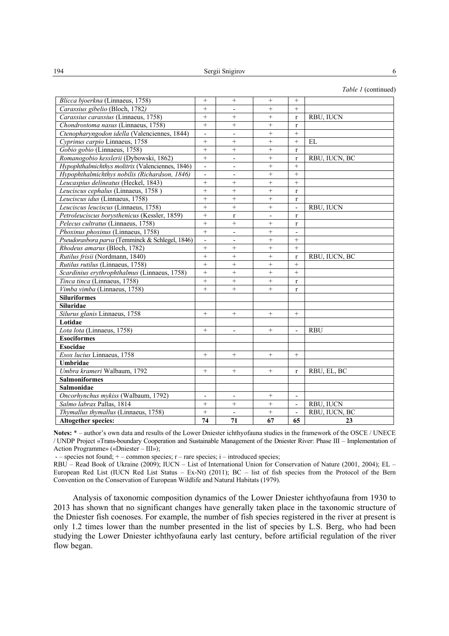|                                                  |                          |                          |                 |                          | Table 1 (continued) |
|--------------------------------------------------|--------------------------|--------------------------|-----------------|--------------------------|---------------------|
| Blicca bjoerkna (Linnaeus, 1758)                 | $^{+}$                   | $^{+}$                   | $^{+}$          | $^{+}$                   |                     |
| Carassius gibelio (Bloch, 1782)                  | $+$                      |                          | $^{+}$          | $+$                      |                     |
| Carassius carassius (Linnaeus, 1758)             | $\ddot{}$                | $\ddot{}$                | $\ddot{}$       | $\mathbf{r}$             | RBU, IUCN           |
| Chondrostoma nasus (Linnaeus, 1758)              | $^{+}$                   | $^{+}$                   | $^{+}$          | $\mathbf{r}$             |                     |
| Ctenopharyngodon idella (Valenciennes, 1844)     | $\overline{\phantom{a}}$ | $\overline{\phantom{0}}$ | $^{+}$          | $^{+}$                   |                     |
| Cyprinus carpio Linnaeus, 1758                   | $\qquad \qquad +$        | $^{+}$                   | $^{+}$          | $^{+}$                   | EL                  |
| Gobio gobio (Linnaeus, 1758)                     | $^{+}$                   | $^{+}$                   | $^{+}$          | $\mathbf r$              |                     |
| Romanogobio kesslerii (Dybowski, 1862)           | $^{+}$                   | $\overline{a}$           | $^{+}$          | $\mathbf{r}$             | RBU, IUCN, BC       |
| Hypophthalmichthys molitrix (Valenciennes, 1846) | $\overline{\phantom{a}}$ |                          | $^{+}$          | $+$                      |                     |
| Hypophthalmichthys nobilis (Richardson, 1846)    | $\overline{\phantom{a}}$ | $\overline{a}$           | $+$             | $^{+}$                   |                     |
| Leucaspius delineatus (Heckel, 1843)             | $^{+}$                   | $^{+}$                   | $^{+}$          | $+$                      |                     |
| Leuciscus cephalus (Linnaeus, 1758)              | $^{+}$                   | $^{+}$                   | $^{+}$          | $\mathbf{r}$             |                     |
| Leuciscus idus (Linnaeus, 1758)                  | $^{+}$                   | $+$                      | $^{+}$          | $\mathbf{r}$             |                     |
| Leuciscus leuciscus (Linnaeus, 1758)             | $\ddot{}$                | $\ddot{}$                | $\ddot{}$       |                          | RBU, IUCN           |
| Petroleuciscus borysthenicus (Kessler, 1859)     | $+$                      | $\mathbf r$              | $\overline{a}$  | $\mathbf{r}$             |                     |
| Pelecus cultratus (Linnaeus, 1758)               | $^{+}$                   | $^{+}$                   | $^{+}$          | $\mathbf{r}$             |                     |
| Phoxinus phoxinus (Linnaeus, 1758)               | $^{+}$                   | -                        | $^{+}$          |                          |                     |
| Pseudorasbora parva (Temminck & Schlegel, 1846)  | $\overline{\phantom{a}}$ | $\overline{\phantom{0}}$ | $^{+}$          | $^{+}$                   |                     |
| Rhodeus amarus (Bloch, 1782)                     | $^{+}$                   | $^{+}$                   | $^{+}$          | $^{+}$                   |                     |
| Rutilus frisii (Nordmann, 1840)                  | $+$                      | $^{+}$                   | $^{+}$          | $\mathbf{r}$             | RBU, IUCN, BC       |
| Rutilus rutilus (Linnaeus, 1758)                 | $^{+}$                   | $^{+}$                   | $^{+}$          | $^{+}$                   |                     |
| Scardinius erythrophthalmus (Linnaeus, 1758)     | $^{+}$                   | $^{+}$                   | $^{+}$          | $+$                      |                     |
| Tinca tinca (Linnaeus, 1758)                     | $^{+}$                   | $^{+}$                   | $^{+}$          | $\mathbf{r}$             |                     |
| Vimba vimba (Linnaeus, 1758)                     | $^{+}$                   | $^{+}$                   | $^{+}$          | $\mathbf{r}$             |                     |
| <b>Siluriformes</b>                              |                          |                          |                 |                          |                     |
| <b>Siluridae</b>                                 |                          |                          |                 |                          |                     |
| Silurus glanis Linnaeus, 1758                    | $^{+}$                   | $^{+}$                   | $^{+}$          | $^{+}$                   |                     |
| Lotidae                                          |                          |                          |                 |                          |                     |
| Lota lota (Linnaeus, 1758)                       | $\qquad \qquad +$        | $\overline{\phantom{0}}$ | $^{+}$          | $\overline{\phantom{a}}$ | RBU                 |
| <b>Esociformes</b>                               |                          |                          |                 |                          |                     |
| Esocidae                                         |                          |                          |                 |                          |                     |
| Esox lucius Linnaeus, 1758                       | $^{+}$                   | $^{+}$                   | $+$             | $^{+}$                   |                     |
| Umbridae                                         |                          |                          |                 |                          |                     |
| Umbra krameri Walbaum, 1792                      | $^{+}$                   | $^{+}$                   | $+$             | $\mathbf{r}$             | RBU, EL, BC         |
| <b>Salmoniformes</b>                             |                          |                          |                 |                          |                     |
| Salmonidae                                       |                          |                          |                 |                          |                     |
| Oncorhynchus mykiss (Walbaum, 1792)              | $\overline{\phantom{a}}$ | $\overline{\phantom{0}}$ | $\! + \!\!\!\!$ | $\overline{\phantom{a}}$ |                     |
| Salmo labrax Pallas, 1814                        |                          | $\! + \!\!\!\!$          | $\! + \!\!\!\!$ | $\overline{\phantom{a}}$ | RBU, IUCN           |
| Thymallus thymallus (Linnaeus, 1758)             | $^{+}$                   | $\overline{\phantom{0}}$ | $^{+}$          | $\overline{\phantom{a}}$ | RBU, IUCN, BC       |
| <b>Altogether species:</b>                       | 74                       | 71                       | 67              | 65                       | 23                  |

**Notes:** \* – author's own data and results of the Lower Dniеster ichthyofauna studies in the framework of the OSCE / UNECE / UNDP Project «Trans-boundary Cooperation and Sustainable Management of the Dniеster River: Phase ІІІ – Implementation of Action Programme» («Dniеster – ІІІ»);

- – species not found; + – common species; r – rare species; i – introduced species;

RBU – Read Book of Ukraine (2009); IUCN – List of International Union for Conservation of Nature (2001, 2004); EL – European Red List (IUCN Red List Status – Ex-Nt) (2011); BC – list of fish species from the Protocol of the Bern Convention on the Conservation of European Wildlife and Natural Habitats (1979).

Analysis of taxonomic composition dynamics of the Lower Dniеster ichthyofauna from 1930 to 2013 has shown that no significant changes have generally taken place in the taxonomic structure of the Dniеster fish coenoses. For example, the number of fish species registered in the river at present is only 1.2 times lower than the number presented in the list of species by L.S. Berg, who had been studying the Lower Dniеster ichthyofauna early last century, before artificial regulation of the river flow began.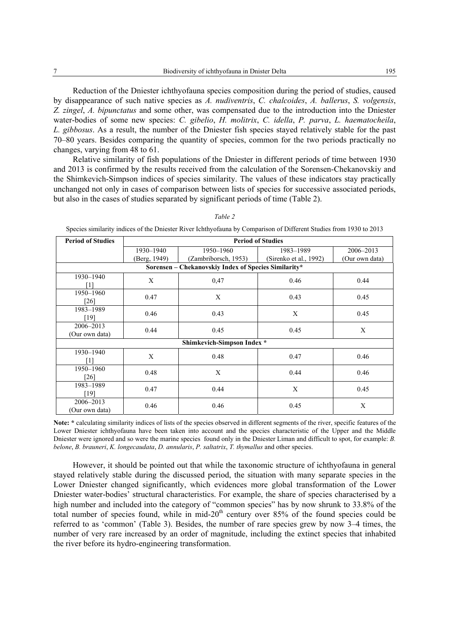Reduction of the Dniеster ichthyofauna species composition during the period of studies, caused by disappearance of such native species as *A. nudiventris*, *C. chalcoides*, *A. ballerus*, *S. volgensis*, *Z. zingel*, *A. bipunctatus* and some other, was compensated due to the introduction into the Dniеster water-bodies of some new species: *C. gibelio*, *H. molitrix*, *C. idella*, *P. parva*, *L. haematocheila*, *L. gibbosus*. As a result, the number of the Dniеster fish species stayed relatively stable for the past 70–80 years. Besides comparing the quantity of species, common for the two periods practically no changes, varying from 48 to 61.

Relative similarity of fish populations of the Dniеster in different periods of time between 1930 and 2013 is confirmed by the results received from the calculation of the Sorensen-Chekanovskiy and the Shimkevich-Simpson indices of species similarity. The values of these indicators stay practically unchanged not only in cases of comparison between lists of species for successive associated periods, but also in the cases of studies separated by significant periods of time (Table 2).

| <b>Period of Studies</b>    | <b>Period of Studies</b>                             |                      |                        |                |  |  |  |  |  |
|-----------------------------|------------------------------------------------------|----------------------|------------------------|----------------|--|--|--|--|--|
|                             | 1930-1940                                            | 1950-1960            | 1983-1989              | 2006-2013      |  |  |  |  |  |
|                             | (Berg, 1949)                                         | (Zambriborsch, 1953) | (Sirenko et al., 1992) | (Our own data) |  |  |  |  |  |
|                             | Sorensen - Chekanovskiy Index of Species Similarity* |                      |                        |                |  |  |  |  |  |
| 1930-1940                   | X                                                    | 0,47                 | 0.46                   | 0.44           |  |  |  |  |  |
| [1]                         |                                                      |                      |                        |                |  |  |  |  |  |
| 1950-1960<br>$[26]$         | 0.47                                                 | X                    | 0.43                   | 0.45           |  |  |  |  |  |
| 1983-1989<br>[19]           | 0.46                                                 | 0.43                 | X                      | 0.45           |  |  |  |  |  |
| 2006–2013<br>(Our own data) | 0.44                                                 | 0.45                 | 0.45                   | X              |  |  |  |  |  |
|                             | Shimkevich-Simpson Index *                           |                      |                        |                |  |  |  |  |  |
| 1930-1940<br>[1]            | X                                                    | 0.48                 | 0.47                   | 0.46           |  |  |  |  |  |
| 1950-1960<br>[26]           | 0.48                                                 | X                    | 0.44                   | 0.46           |  |  |  |  |  |
| 1983-1989<br>$[19]$         | 0.47                                                 | 0.44                 | X                      | 0.45           |  |  |  |  |  |
| 2006-2013<br>(Our own data) | 0.46                                                 | 0.46                 | 0.45                   | X              |  |  |  |  |  |

*Table 2*

Species similarity indices of the Dniеster River Ichthyofauna by Comparison of Different Studies from 1930 to 2013

**Note: \*** calculating similarity indices of lists of the species observed in different segments of the river, specific features of the Lower Dniester ichthyofauna have been taken into account and the species characteristic of the Upper and the Middle Dniеster were ignored and so were the marine species found only in the Dniеster Liman and difficult to spot, for example: *B. belone*, *B. brauneri*, *K. longecaudata*, *D. annularis*, *P. saltatrix*, *T. thymallus* and other species.

However, it should be pointed out that while the taxonomic structure of ichthyofauna in general stayed relatively stable during the discussed period, the situation with many separate species in the Lower Dniеster changed significantly, which evidences more global transformation of the Lower Dniеster water-bodies' structural characteristics. For example, the share of species characterised by a high number and included into the category of "common species" has by now shrunk to 33.8% of the total number of species found, while in mid- $20<sup>th</sup>$  century over 85% of the found species could be referred to as 'common' (Table 3). Besides, the number of rare species grew by now 3–4 times, the number of very rare increased by an order of magnitude, including the extinct species that inhabited the river before its hydro-engineering transformation.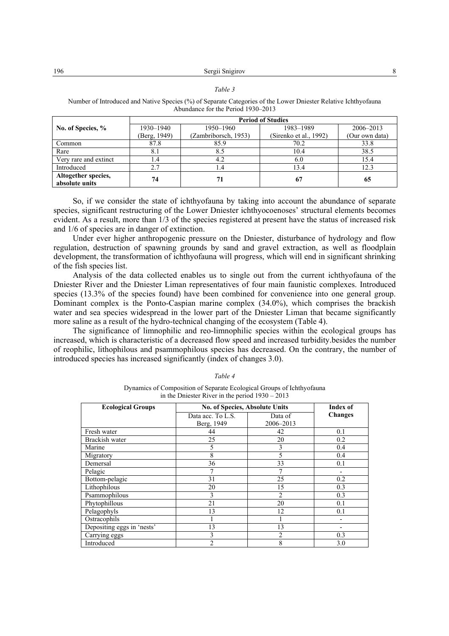Sergii Snigirov 8 196

#### *Table 3*

Number of Introduced and Native Species (%) of Separate Categories of the Lower Dniеster Relative Ichthyofauna Abundance for the Period 1930–2013

|                                       | <b>Period of Studies</b> |                      |                        |                |  |  |  |
|---------------------------------------|--------------------------|----------------------|------------------------|----------------|--|--|--|
| No. of Species, %                     | 1930-1940                | 1950-1960            | 1983-1989              | 2006–2013      |  |  |  |
|                                       | (Berg, 1949)             | (Zambriborsch, 1953) | (Sirenko et al., 1992) | (Our own data) |  |  |  |
| Common                                | 87.8                     | 85.9                 | 70.2                   | 33.8           |  |  |  |
| Rare                                  | 8.1                      | 8.5                  | 10.4                   | 38.5           |  |  |  |
| Very rare and extinct                 | l .4                     | 4.2                  | 6.0                    | 15.4           |  |  |  |
| Introduced                            | 2.7                      | 1.4                  | 13.4                   | 12.3           |  |  |  |
| Altogether species,<br>absolute units | 74                       | 71                   | 67                     | 65             |  |  |  |

So, if we consider the state of ichthyofauna by taking into account the abundance of separate species, significant restructuring of the Lower Dniеster ichthyocoenoses' structural elements becomes evident. As a result, more than 1/3 of the species registered at present have the status of increased risk and 1/6 of species are in danger of extinction.

Under ever higher anthropogenic pressure on the Dniеster, disturbance of hydrology and flow regulation, destruction of spawning grounds by sand and gravel extraction, as well as floodplain development, the transformation of ichthyofauna will progress, which will end in significant shrinking of the fish species list.

Analysis of the data collected enables us to single out from the current ichthyofauna of the Dniеster River and the Dniеster Liman representatives of four main faunistic complexes. Introduced species (13.3% of the species found) have been combined for convenience into one general group. Dominant complex is the Ponto-Caspian marine complex (34.0%), which comprises the brackish water and sea species widespread in the lower part of the Dniester Liman that became significantly more saline as a result of the hydro-technical changing of the ecosystem (Table 4).

The significance of limnophilic and reo-limnophilic species within the ecological groups has increased, which is characteristic of a decreased flow speed and increased turbidity.besides the number of reophilic, lithophilous and psammophilous species has decreased. On the contrary, the number of introduced species has increased significantly (index of changes 3.0).

| In the Binester further the period $1220 - 2015$ |                                |                |                |  |  |  |
|--------------------------------------------------|--------------------------------|----------------|----------------|--|--|--|
| <b>Ecological Groups</b>                         | No. of Species, Absolute Units | Index of       |                |  |  |  |
|                                                  | Data acc. To L.S.              | Data of        | <b>Changes</b> |  |  |  |
|                                                  | Berg, 1949                     | 2006-2013      |                |  |  |  |
| Fresh water                                      | 44                             | 42             | 0.1            |  |  |  |
| Brackish water                                   | 25                             | 20             | 0.2            |  |  |  |
| Marine                                           | 5                              | 3              | 0.4            |  |  |  |
| Migratory                                        | 8                              | 5              | 0.4            |  |  |  |
| Demersal                                         | 36                             | 33             | 0.1            |  |  |  |
| Pelagic                                          |                                | 7              |                |  |  |  |
| Bottom-pelagic                                   | 31                             | 25             | 0.2            |  |  |  |
| Lithophilous                                     | 20                             | 15             | 0.3            |  |  |  |
| Psammophilous                                    | 3                              | $\overline{2}$ | 0.3            |  |  |  |
| Phytophillous                                    | 21                             | 20             | 0.1            |  |  |  |
| Pelagophyls                                      | 13                             | 12             | 0.1            |  |  |  |
| Ostracophils                                     |                                |                |                |  |  |  |
| Depositing eggs in 'nests'                       | 13                             | 13             |                |  |  |  |
| Carrying eggs                                    | 3                              | 2              | 0.3            |  |  |  |
| Introduced                                       | າ                              | 8              | 3.0            |  |  |  |

### *Table 4*

Dynamics of Composition of Separate Ecological Groups of Ichthyofauna in the Dniester River in the period  $1930 - 2013$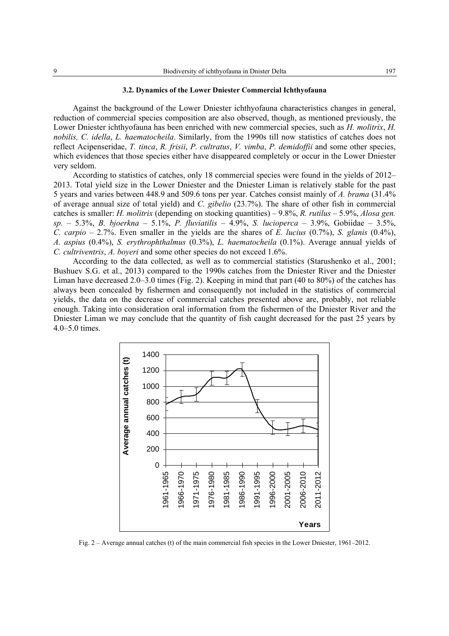### **3.2. Dynamics of the Lower Dniеster Commercial Ichthyofauna**

Against the background of the Lower Dniеster ichthyofauna characteristics changes in general, reduction of commercial species composition are also observed, though, as mentioned previously, the Lower Dniеster ichthyofauna has been enriched with new commercial species, such as *H. molitrix*, *H. nobilis, C. idella*, *L. haematocheila*. Similarly, from the 1990s till now statistics of catches does not reflect Acipenseridae, *T. tinca*, *R. frisii*, *P. cultratus*, *V. vimba*, *P. demidoffii* and some other species, which evidences that those species either have disappeared completely or occur in the Lower Dniеster very seldom.

According to statistics of catches, only 18 commercial species were found in the yields of 2012– 2013. Total yield size in the Lower Dniеster and the Dniеster Liman is relatively stable for the past 5 years and varies between 448.9 and 509.6 tons per year. Catches consist mainly of *A. brama* (31.4% of average annual size of total yield) and *C. gibelio* (23.7%). The share of other fish in commercial catches is smaller: *H. molitrix* (depending on stocking quantities) – 9.8%, *R. rutilus* – 5.9%, *Alosa gen. sp.* – 5.3%, *B. bjoerkna* – 5.1%, *P. fluviatilis* – 4.9%, *S. lucioperca* – 3.9%, Gobiidae – 3.5%, *C. carpio* – 2.7%. Even smaller in the yields are the shares of *E. lucius* (0.7%), *S. glanis* (0.4%), *A. aspius* (0.4%), *S. erythrophthalmus* (0.3%), *L. haematocheila* (0.1%). Average annual yields of *C. cultriventris*, *A. boyeri* and some other species do not exceed 1.6%.

According to the data collected, as well as to commercial statistics (Starushenko et al., 2001; Bushuev S.G. et al., 2013) compared to the 1990s catches from the Dniеster River and the Dniеster Liman have decreased 2.0–3.0 times (Fig. 2). Keeping in mind that part (40 to 80%) of the catches has always been concealed by fishermen and consequently not included in the statistics of commercial yields, the data on the decrease of commercial catches presented above are, probably, not reliable enough. Taking into consideration oral information from the fishermen of the Dniеster River and the Dniеster Liman we may conclude that the quantity of fish caught decreased for the past 25 years by 4.0–5.0 times.



Fig. 2 – Average annual catches (t) of the main commercial fish species in the Lower Dniеster, 1961–2012.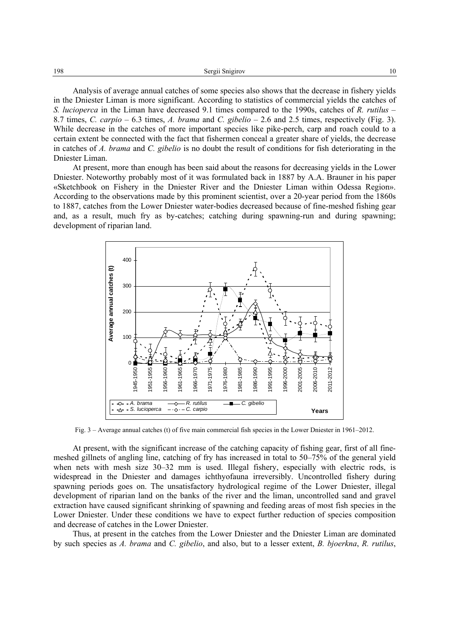Analysis of average annual catches of some species also shows that the decrease in fishery yields in the Dniеster Liman is more significant. According to statistics of commercial yields the catches of *S. lucioperca* in the Liman have decreased 9.1 times compared to the 1990s, catches of *R. rutilus* – 8.7 times, *C. carpio* – 6.3 times, *A. brama* and *C. gibelio* – 2.6 and 2.5 times, respectively (Fig. 3). While decrease in the catches of more important species like pike-perch, carp and roach could to a certain extent be connected with the fact that fishermen conceal a greater share of yields, the decrease in catches of *A. brama* and *C. gibelio* is no doubt the result of conditions for fish deteriorating in the Dniеster Liman.

At present, more than enough has been said about the reasons for decreasing yields in the Lower Dniеster. Noteworthy probably most of it was formulated back in 1887 by A.A. Brauner in his paper «Sketchbook on Fishery in the Dniеster River and the Dniеster Liman within Odessa Region». According to the observations made by this prominent scientist, over a 20-year period from the 1860s to 1887, catches from the Lower Dniеster water-bodies decreased because of fine-meshed fishing gear and, as a result, much fry as by-catches; catching during spawning-run and during spawning; development of riparian land.



Fig. 3 – Average annual catches (t) of five main commercial fish species in the Lower Dniеster in 1961–2012.

At present, with the significant increase of the catching capacity of fishing gear, first of all finemeshed gillnets of angling line, catching of fry has increased in total to 50–75% of the general yield when nets with mesh size 30–32 mm is used. Illegal fishery, especially with electric rods, is widespread in the Dniеster and damages ichthyofauna irreversibly. Uncontrolled fishery during spawning periods goes on. The unsatisfactory hydrological regime of the Lower Dniеster, illegal development of riparian land on the banks of the river and the liman, uncontrolled sand and gravel extraction have caused significant shrinking of spawning and feeding areas of most fish species in the Lower Dniеster. Under these conditions we have to expect further reduction of species composition and decrease of catches in the Lower Dniеster.

Thus, at present in the catches from the Lower Dniеster and the Dniеster Liman are dominated by such species as *A. brama* and *C. gibelio*, and also, but to a lesser extent, *B. bjoerkna*, *R. rutilus*,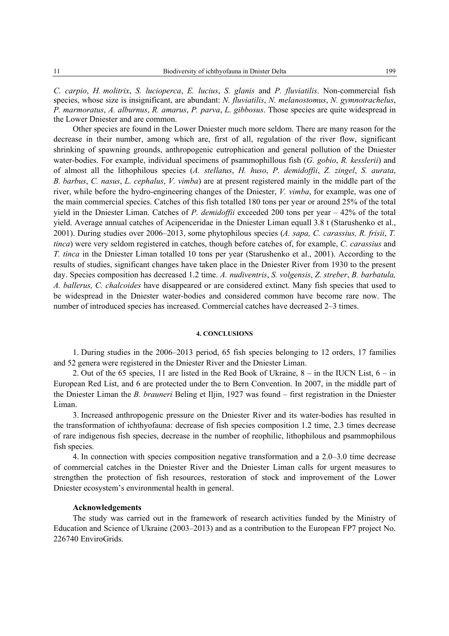*C. carpio*, *H. molitrix*, *S. lucioperca*, *E. lucius*, *S. glanis* and *P. fluviatilis*. Non-commercial fish species, whose size is insignificant, are abundant: *N. fluviatilis*, *N. melanostomus*, *N. gymnotrachelus*, *P. marmoratus*, *A. alburnus*, *R. amarus*, *P. parva*, *L. gibbosus*. Those species are quite widespread in the Lower Dniеster and are common.

Other species are found in the Lower Dniеster much more seldom. There are many reason for the decrease in their number, among which are, first of all, regulation of the river flow, significant shrinking of spawning grounds, anthropogenic eutrophication and general pollution of the Dniеster water-bodies. For example, individual specimens of psammophillous fish (*G. gobio*, *R. kesslerii*) and of almost all the lithophilous species (*A. stellatus*, *H. huso*, *P. demidoffii*, *Z. zingel*, *S. aurata*, *B. barbus*, *C. nasus*, *L. cephalus*, *V. vimba*) are at present registered mainly in the middle part of the river, while before the hydro-engineering changes of the Dniеster, *V. vimba*, for example, was one of the main commercial species. Catches of this fish totalled 180 tons per year or around 25% of the total yield in the Dniеster Liman. Catches of *P. demidoffii* exceeded 200 tons per year – 42% of the total yield. Average annual catches of Acipenceridae in the Dniеster Liman equall 3.8 t (Starushenko et al., 2001). During studies over 2006–2013, some phytophilous species (*A. sapa, C. carassius, R. frisii*, *T. tinca*) were very seldom registered in catches, though before catches of, for example, *C. carassius* and *T. tinca* in the Dniеster Liman totalled 10 tons per year (Starushenko et al., 2001). According to the results of studies, significant changes have taken place in the Dniеster River from 1930 to the present day. Species composition has decreased 1.2 time. *A. nudiventris*, *S. volgensis*, *Z. streber*, *B. barbatula, A. ballerus, C. chalcoides* have disappeared or are considered extinct. Many fish species that used to be widespread in the Dniеster water-bodies and considered common have become rare now. The number of introduced species has increased. Commercial catches have decreased 2–3 times.

### **4. CONCLUSIONS**

1. During studies in the 2006–2013 period, 65 fish species belonging to 12 orders, 17 families and 52 genera were registered in the Dniеster River and the Dniеster Liman.

2. Out of the 65 species, 11 are listed in the Red Book of Ukraine,  $8 -$  in the IUCN List,  $6 -$  in European Red List, and 6 are protected under the to Bern Convention. In 2007, in the middle part of the Dniеster Liman the *B. brauneri* Beling et Iljin, 1927 was found – first registration in the Dniеster Liman.

3. Increased anthropogenic pressure on the Dniеster River and its water-bodies has resulted in the transformation of ichthyofauna: decrease of fish species composition 1.2 time, 2.3 times decrease of rare indigenous fish species, decrease in the number of reophilic, lithophilous and psammophilous fish species.

4. In connection with species composition negative transformation and a 2.0–3.0 time decrease of commercial catches in the Dniеster River and the Dniеster Liman calls for urgent measures to strengthen the protection of fish resources, restoration of stock and improvement of the Lower Dniеster ecosystem's environmental health in general.

## **Acknowledgements**

The study was carried out in the framework of research activities funded by the Ministry of Education and Science of Ukraine (2003–2013) and as a contribution to the European FP7 project No. 226740 EnviroGrids.